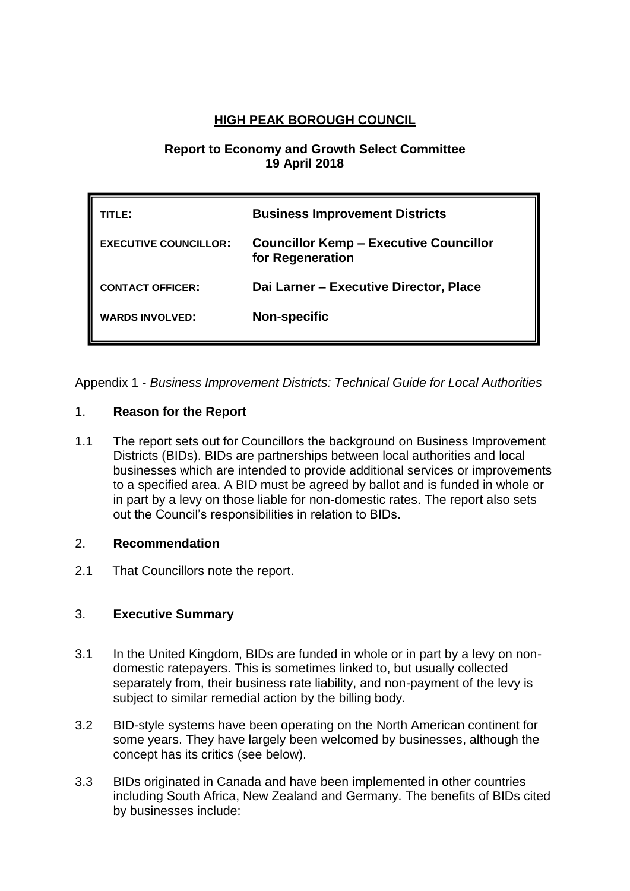# **HIGH PEAK BOROUGH COUNCIL**

### **Report to Economy and Growth Select Committee 19 April 2018**

| TLE:                         | <b>Business Improvement Districts</b>                             |
|------------------------------|-------------------------------------------------------------------|
| <b>EXECUTIVE COUNCILLOR:</b> | <b>Councillor Kemp - Executive Councillor</b><br>for Regeneration |
| <b>CONTACT OFFICER:</b>      | Dai Larner - Executive Director, Place                            |
| <b>WARDS INVOLVED:</b>       | <b>Non-specific</b>                                               |

Appendix 1 - *Business Improvement Districts: Technical Guide for Local Authorities*

# 1. **Reason for the Report**

1.1 The report sets out for Councillors the background on Business Improvement Districts (BIDs). BIDs are partnerships between local authorities and local businesses which are intended to provide additional services or improvements to a specified area. A BID must be agreed by ballot and is funded in whole or in part by a levy on those liable for non-domestic rates. The report also sets out the Council's responsibilities in relation to BIDs.

### 2. **Recommendation**

2.1 That Councillors note the report.

# 3. **Executive Summary**

- 3.1 In the United Kingdom, BIDs are funded in whole or in part by a levy on nondomestic ratepayers. This is sometimes linked to, but usually collected separately from, their business rate liability, and non-payment of the levy is subject to similar remedial action by the billing body.
- 3.2 BID-style systems have been operating on the North American continent for some years. They have largely been welcomed by businesses, although the concept has its critics (see below).
- 3.3 BIDs originated in Canada and have been implemented in other countries including South Africa, New Zealand and Germany. The benefits of BIDs cited by businesses include: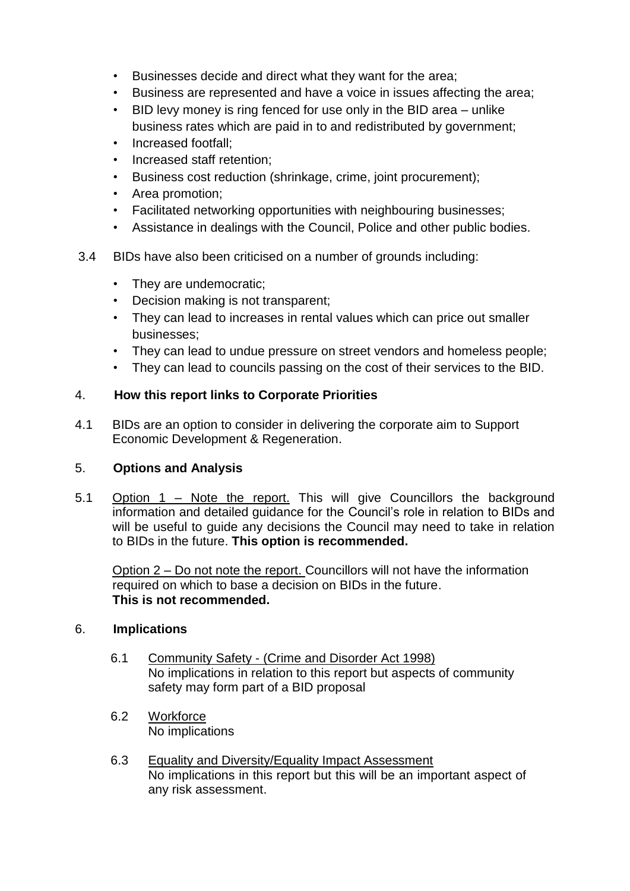- Businesses decide and direct what they want for the area;
- Business are represented and have a voice in issues affecting the area;
- BID levy money is ring fenced for use only in the BID area unlike business rates which are paid in to and redistributed by government;
- Increased footfall;
- Increased staff retention;
- Business cost reduction (shrinkage, crime, joint procurement);
- Area promotion;
- Facilitated networking opportunities with neighbouring businesses;
- Assistance in dealings with the Council, Police and other public bodies.
- 3.4 BIDs have also been criticised on a number of grounds including:
	- They are undemocratic;
	- Decision making is not transparent;
	- They can lead to increases in rental values which can price out smaller businesses;
	- They can lead to undue pressure on street vendors and homeless people;
	- They can lead to councils passing on the cost of their services to the BID.

# 4. **How this report links to Corporate Priorities**

4.1 BIDs are an option to consider in delivering the corporate aim to Support Economic Development & Regeneration.

### 5. **Options and Analysis**

5.1 Option 1 – Note the report. This will give Councillors the background information and detailed guidance for the Council's role in relation to BIDs and will be useful to guide any decisions the Council may need to take in relation to BIDs in the future. **This option is recommended.**

Option 2 – Do not note the report. Councillors will not have the information required on which to base a decision on BIDs in the future. **This is not recommended.**

### 6. **Implications**

- 6.1 Community Safety (Crime and Disorder Act 1998) No implications in relation to this report but aspects of community safety may form part of a BID proposal
- 6.2 Workforce No implications
- 6.3 Equality and Diversity/Equality Impact Assessment No implications in this report but this will be an important aspect of any risk assessment.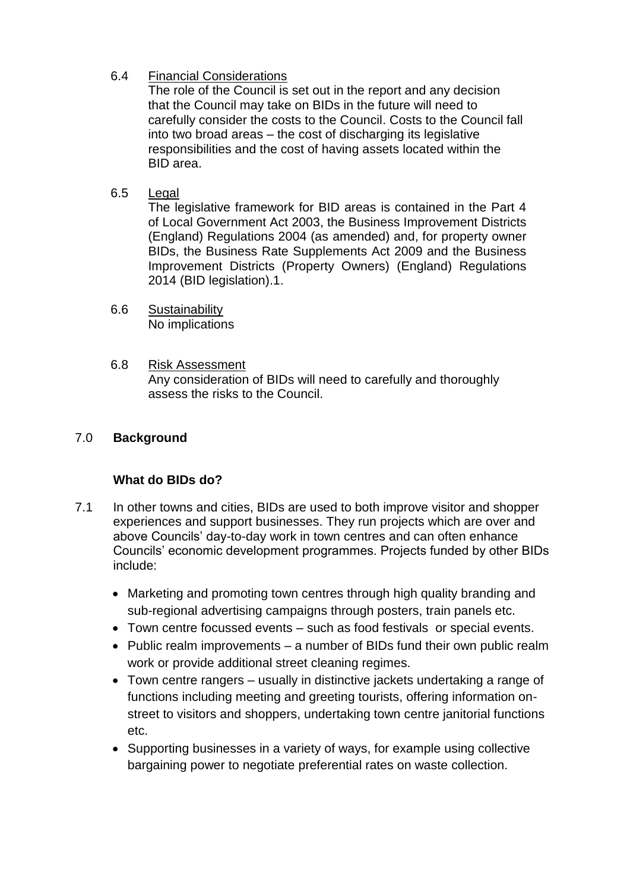# 6.4 Financial Considerations

The role of the Council is set out in the report and any decision that the Council may take on BIDs in the future will need to carefully consider the costs to the Council. Costs to the Council fall into two broad areas – the cost of discharging its legislative responsibilities and the cost of having assets located within the BID area.

6.5 Legal

The legislative framework for BID areas is contained in the Part 4 of Local Government Act 2003, the Business Improvement Districts (England) Regulations 2004 (as amended) and, for property owner BIDs, the Business Rate Supplements Act 2009 and the Business Improvement Districts (Property Owners) (England) Regulations 2014 (BID legislation).1.

- 6.6 Sustainability No implications
- 6.8 Risk Assessment Any consideration of BIDs will need to carefully and thoroughly assess the risks to the Council.

# 7.0 **Background**

# **What do BIDs do?**

- 7.1 In other towns and cities, BIDs are used to both improve visitor and shopper experiences and support businesses. They run projects which are over and above Councils' day-to-day work in town centres and can often enhance Councils' economic development programmes. Projects funded by other BIDs include:
	- Marketing and promoting town centres through high quality branding and sub-regional advertising campaigns through posters, train panels etc.
	- Town centre focussed events such as food festivals or special events.
	- Public realm improvements a number of BIDs fund their own public realm work or provide additional street cleaning regimes.
	- Town centre rangers usually in distinctive jackets undertaking a range of functions including meeting and greeting tourists, offering information onstreet to visitors and shoppers, undertaking town centre janitorial functions etc.
	- Supporting businesses in a variety of ways, for example using collective bargaining power to negotiate preferential rates on waste collection.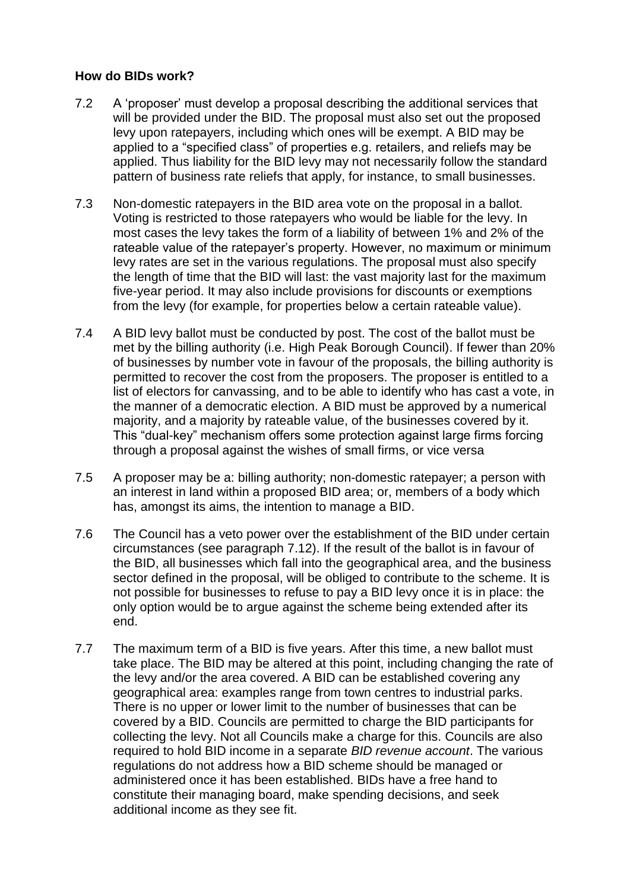### **How do BIDs work?**

- 7.2 A 'proposer' must develop a proposal describing the additional services that will be provided under the BID. The proposal must also set out the proposed levy upon ratepayers, including which ones will be exempt. A BID may be applied to a "specified class" of properties e.g. retailers, and reliefs may be applied. Thus liability for the BID levy may not necessarily follow the standard pattern of business rate reliefs that apply, for instance, to small businesses.
- 7.3 Non-domestic ratepayers in the BID area vote on the proposal in a ballot. Voting is restricted to those ratepayers who would be liable for the levy. In most cases the levy takes the form of a liability of between 1% and 2% of the rateable value of the ratepayer's property. However, no maximum or minimum levy rates are set in the various regulations. The proposal must also specify the length of time that the BID will last: the vast majority last for the maximum five-year period. It may also include provisions for discounts or exemptions from the levy (for example, for properties below a certain rateable value).
- 7.4 A BID levy ballot must be conducted by post. The cost of the ballot must be met by the billing authority (i.e. High Peak Borough Council). If fewer than 20% of businesses by number vote in favour of the proposals, the billing authority is permitted to recover the cost from the proposers. The proposer is entitled to a list of electors for canvassing, and to be able to identify who has cast a vote, in the manner of a democratic election. A BID must be approved by a numerical majority, and a majority by rateable value, of the businesses covered by it. This "dual-key" mechanism offers some protection against large firms forcing through a proposal against the wishes of small firms, or vice versa
- 7.5 A proposer may be a: billing authority; non-domestic ratepayer; a person with an interest in land within a proposed BID area; or, members of a body which has, amongst its aims, the intention to manage a BID.
- 7.6 The Council has a veto power over the establishment of the BID under certain circumstances (see paragraph 7.12). If the result of the ballot is in favour of the BID, all businesses which fall into the geographical area, and the business sector defined in the proposal, will be obliged to contribute to the scheme. It is not possible for businesses to refuse to pay a BID levy once it is in place: the only option would be to argue against the scheme being extended after its end.
- 7.7 The maximum term of a BID is five years. After this time, a new ballot must take place. The BID may be altered at this point, including changing the rate of the levy and/or the area covered. A BID can be established covering any geographical area: examples range from town centres to industrial parks. There is no upper or lower limit to the number of businesses that can be covered by a BID. Councils are permitted to charge the BID participants for collecting the levy. Not all Councils make a charge for this. Councils are also required to hold BID income in a separate *BID revenue account*. The various regulations do not address how a BID scheme should be managed or administered once it has been established. BIDs have a free hand to constitute their managing board, make spending decisions, and seek additional income as they see fit.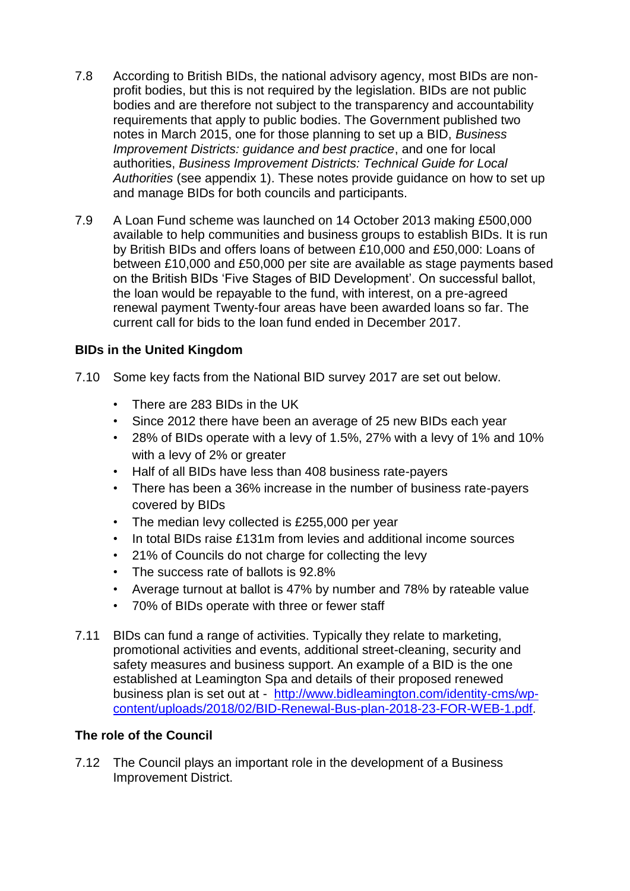- 7.8 According to British BIDs, the national advisory agency, most BIDs are nonprofit bodies, but this is not required by the legislation. BIDs are not public bodies and are therefore not subject to the transparency and accountability requirements that apply to public bodies. The Government published two notes in March 2015, one for those planning to set up a BID, *Business Improvement Districts: guidance and best practice*, and one for local authorities, *Business Improvement Districts: Technical Guide for Local Authorities* (see appendix 1). These notes provide guidance on how to set up and manage BIDs for both councils and participants.
- 7.9 A Loan Fund scheme was launched on 14 October 2013 making £500,000 available to help communities and business groups to establish BIDs. It is run by British BIDs and offers loans of between £10,000 and £50,000: Loans of between £10,000 and £50,000 per site are available as stage payments based on the British BIDs 'Five Stages of BID Development'. On successful ballot, the loan would be repayable to the fund, with interest, on a pre-agreed renewal payment Twenty-four areas have been awarded loans so far. The current call for bids to the loan fund ended in December 2017.

# **BIDs in the United Kingdom**

- 7.10 Some key facts from the National BID survey 2017 are set out below.
	- There are 283 BIDs in the UK
	- Since 2012 there have been an average of 25 new BIDs each year
	- 28% of BIDs operate with a levy of 1.5%, 27% with a levy of 1% and 10% with a levy of 2% or greater
	- Half of all BIDs have less than 408 business rate-payers
	- There has been a 36% increase in the number of business rate-payers covered by BIDs
	- The median levy collected is £255,000 per year
	- In total BIDs raise £131m from levies and additional income sources
	- 21% of Councils do not charge for collecting the levy
	- The success rate of ballots is 92.8%
	- Average turnout at ballot is 47% by number and 78% by rateable value
	- 70% of BIDs operate with three or fewer staff
- 7.11 BIDs can fund a range of activities. Typically they relate to marketing, promotional activities and events, additional street-cleaning, security and safety measures and business support. An example of a BID is the one established at Leamington Spa and details of their proposed renewed business plan is set out at - [http://www.bidleamington.com/identity-cms/wp](http://www.bidleamington.com/identity-cms/wp-content/uploads/2018/02/BID-Renewal-Bus-plan-2018-23-FOR-WEB-1.pdf)[content/uploads/2018/02/BID-Renewal-Bus-plan-2018-23-FOR-WEB-1.pdf.](http://www.bidleamington.com/identity-cms/wp-content/uploads/2018/02/BID-Renewal-Bus-plan-2018-23-FOR-WEB-1.pdf)

### **The role of the Council**

7.12 The Council plays an important role in the development of a Business Improvement District.